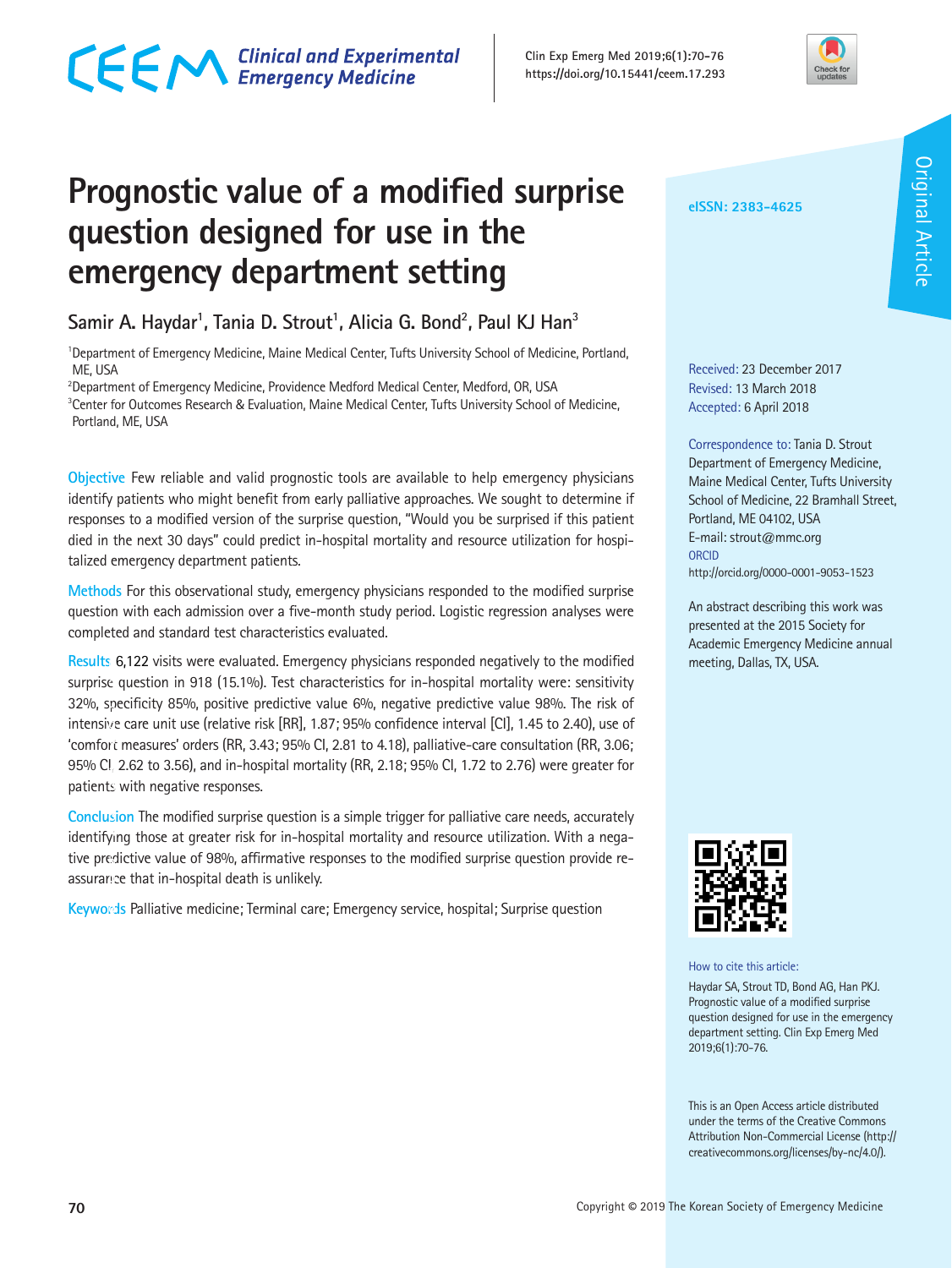## CECM Clinical and Experimental



### **Prognostic value of a modified surprise question designed for use in the emergency department setting**

Samir A. Haydar<sup>1</sup>, Tania D. Strout<sup>1</sup>, Alicia G. Bond<sup>2</sup>, Paul KJ Han<sup>3</sup>

<sup>1</sup>Department of Emergency Medicine, Maine Medical Center, Tufts University School of Medicine, Portland, ME, USA

 $^2$ Department of Emergency Medicine, Providence Medford Medical Center, Medford, OR, USA 3 Center for Outcomes Research & Evaluation, Maine Medical Center, Tufts University School of Medicine, Portland, ME, USA

**Objective** Few reliable and valid prognostic tools are available to help emergency physicians identify patients who might benefit from early palliative approaches. We sought to determine if responses to a modified version of the surprise question, "Would you be surprised if this patient died in the next 30 days" could predict in-hospital mortality and resource utilization for hospitalized emergency department patients.

**Methods** For this observational study, emergency physicians responded to the modified surprise question with each admission over a five-month study period. Logistic regression analyses were completed and standard test characteristics evaluated.

**Results** 6,122 visits were evaluated. Emergency physicians responded negatively to the modified **i** surprise question in 918 (15.1%). Test characteristics for in-hospital mortality were: sensitivity 32%, specificity 85%, positive predictive value 6%, negative predictive value 98%. The risk of **t** intensive care unit use (relative risk [RR], 1.87; 95% confidence interval [CI], 1.45 to 2.40), use of **o** 'comfort measures' orders (RR, 3.43; 95% CI, 2.81 to 4.18), palliative-care consultation (RR, 3.06; **u** 95% CI, 2.62 to 3.56), and in-hospital mortality (RR, 2.18; 95% CI, 1.72 to 2.76) were greater for **s** patients with negative responses. **n h a**

**Conclusion** The modified surprise question is a simple trigger for palliative care needs, accurately identifying those at greater risk for in-hospital mortality and resource utilization. With a nega-**n** tive predictive value of 98%, affirmative responses to the modified surprise question provide re-**e**  assurance that in-hospital death is unlikely. **u o h**

**Keywords** Palliative medicine; Terminal care; Emergency service, hospital; Surprise question **d**

Received: 23 December 2017 Revised: 13 March 2018 Accepted: 6 April 2018

**eISSN: 2383-4625**

Correspondence to: Tania D. Strout Department of Emergency Medicine, Maine Medical Center, Tufts University School of Medicine, 22 Bramhall Street, Portland, ME 04102, USA E-mail: strout@mmc.org **ORCID** http://orcid.org/0000-0001-9053-1523

An abstract describing this work was presented at the 2015 Society for Academic Emergency Medicine annual meeting, Dallas, TX, USA.



How to cite this article:

Haydar SA, Strout TD, Bond AG, Han PKJ. Prognostic value of a modified surprise question designed for use in the emergency department setting. Clin Exp Emerg Med 2019;6(1):70-76.

This is an Open Access article distributed under the terms of the Creative Commons Attribution Non-Commercial License (http:// creativecommons.org/licenses/by-nc/4.0/).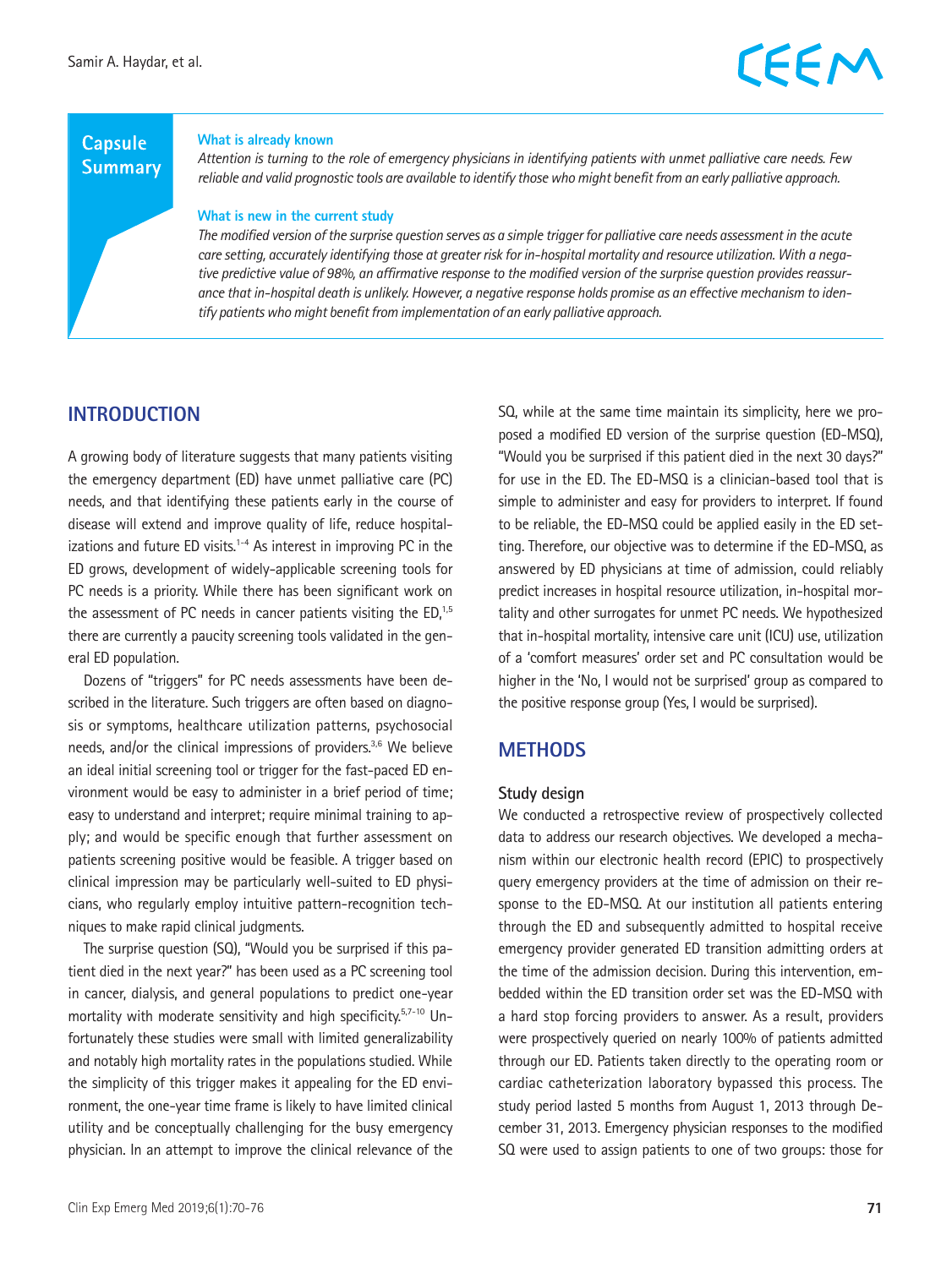#### **Capsule Summary**

#### **What is already known**

*Attention is turning to the role of emergency physicians in identifying patients with unmet palliative care needs. Few reliable and valid prognostic tools are available to identify those who might benefit from an early palliative approach.* 

#### **What is new in the current study**

*The modified version of the surprise question serves as a simple trigger for palliative care needs assessment in the acute care setting, accurately identifying those at greater risk for in-hospital mortality and resource utilization. With a negative predictive value of 98%, an affirmative response to the modified version of the surprise question provides reassurance that in-hospital death is unlikely. However, a negative response holds promise as an effective mechanism to identify patients who might benefit from implementation of an early palliative approach.*

#### **INTRODUCTION**

A growing body of literature suggests that many patients visiting the emergency department (ED) have unmet palliative care (PC) needs, and that identifying these patients early in the course of disease will extend and improve quality of life, reduce hospitalizations and future ED visits. $1-4$  As interest in improving PC in the ED grows, development of widely-applicable screening tools for PC needs is a priority. While there has been significant work on the assessment of PC needs in cancer patients visiting the  $ED<sub>1,5</sub>$ there are currently a paucity screening tools validated in the general ED population.

Dozens of "triggers" for PC needs assessments have been described in the literature. Such triggers are often based on diagnosis or symptoms, healthcare utilization patterns, psychosocial needs, and/or the clinical impressions of providers.<sup>3,6</sup> We believe an ideal initial screening tool or trigger for the fast-paced ED environment would be easy to administer in a brief period of time; easy to understand and interpret; require minimal training to apply; and would be specific enough that further assessment on patients screening positive would be feasible. A trigger based on clinical impression may be particularly well-suited to ED physicians, who regularly employ intuitive pattern-recognition techniques to make rapid clinical judgments.

The surprise question (SQ), "Would you be surprised if this patient died in the next year?" has been used as a PC screening tool in cancer, dialysis, and general populations to predict one-year mortality with moderate sensitivity and high specificity.<sup>5,7-10</sup> Unfortunately these studies were small with limited generalizability and notably high mortality rates in the populations studied. While the simplicity of this trigger makes it appealing for the ED environment, the one-year time frame is likely to have limited clinical utility and be conceptually challenging for the busy emergency physician. In an attempt to improve the clinical relevance of the SQ, while at the same time maintain its simplicity, here we proposed a modified ED version of the surprise question (ED-MSQ), "Would you be surprised if this patient died in the next 30 days?" for use in the ED. The ED-MSQ is a clinician-based tool that is simple to administer and easy for providers to interpret. If found to be reliable, the ED-MSQ could be applied easily in the ED setting. Therefore, our objective was to determine if the ED-MSQ, as answered by ED physicians at time of admission, could reliably predict increases in hospital resource utilization, in-hospital mortality and other surrogates for unmet PC needs. We hypothesized that in-hospital mortality, intensive care unit (ICU) use, utilization of a 'comfort measures' order set and PC consultation would be higher in the 'No, I would not be surprised' group as compared to the positive response group (Yes, I would be surprised).

#### **METHODS**

#### **Study design**

We conducted a retrospective review of prospectively collected data to address our research objectives. We developed a mechanism within our electronic health record (EPIC) to prospectively query emergency providers at the time of admission on their response to the ED-MSQ. At our institution all patients entering through the ED and subsequently admitted to hospital receive emergency provider generated ED transition admitting orders at the time of the admission decision. During this intervention, embedded within the ED transition order set was the ED-MSQ with a hard stop forcing providers to answer. As a result, providers were prospectively queried on nearly 100% of patients admitted through our ED. Patients taken directly to the operating room or cardiac catheterization laboratory bypassed this process. The study period lasted 5 months from August 1, 2013 through December 31, 2013. Emergency physician responses to the modified SQ were used to assign patients to one of two groups: those for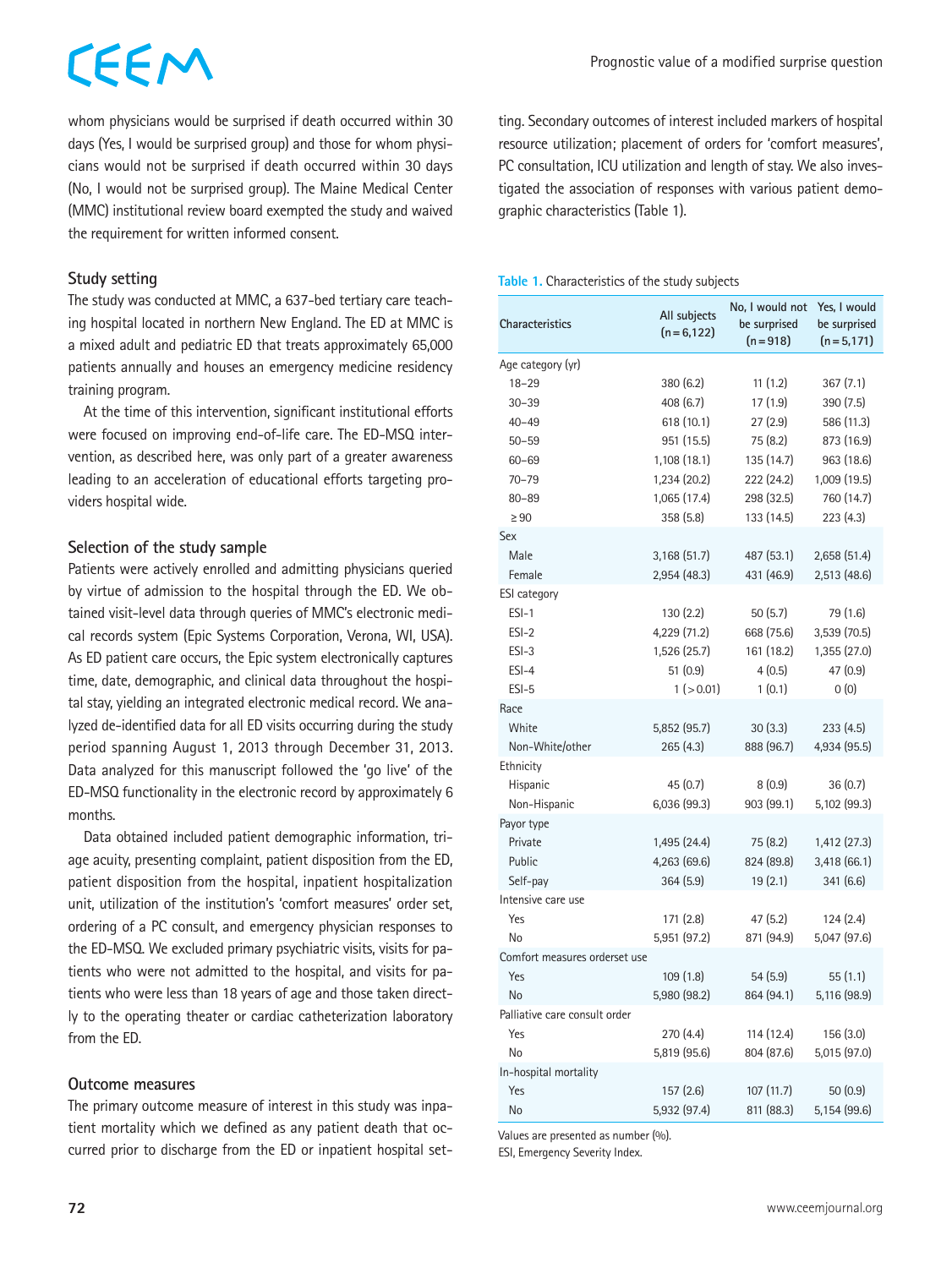# CEEM

whom physicians would be surprised if death occurred within 30 days (Yes, I would be surprised group) and those for whom physicians would not be surprised if death occurred within 30 days (No, I would not be surprised group). The Maine Medical Center (MMC) institutional review board exempted the study and waived the requirement for written informed consent.

#### **Study setting**

The study was conducted at MMC, a 637-bed tertiary care teaching hospital located in northern New England. The ED at MMC is a mixed adult and pediatric ED that treats approximately 65,000 patients annually and houses an emergency medicine residency training program.

At the time of this intervention, significant institutional efforts were focused on improving end-of-life care. The ED-MSQ intervention, as described here, was only part of a greater awareness leading to an acceleration of educational efforts targeting providers hospital wide.

#### **Selection of the study sample**

Patients were actively enrolled and admitting physicians queried by virtue of admission to the hospital through the ED. We obtained visit-level data through queries of MMC's electronic medical records system (Epic Systems Corporation, Verona, WI, USA). As ED patient care occurs, the Epic system electronically captures time, date, demographic, and clinical data throughout the hospital stay, yielding an integrated electronic medical record. We analyzed de-identified data for all ED visits occurring during the study period spanning August 1, 2013 through December 31, 2013. Data analyzed for this manuscript followed the 'go live' of the ED-MSQ functionality in the electronic record by approximately 6 months.

Data obtained included patient demographic information, triage acuity, presenting complaint, patient disposition from the ED, patient disposition from the hospital, inpatient hospitalization unit, utilization of the institution's 'comfort measures' order set, ordering of a PC consult, and emergency physician responses to the ED-MSQ. We excluded primary psychiatric visits, visits for patients who were not admitted to the hospital, and visits for patients who were less than 18 years of age and those taken directly to the operating theater or cardiac catheterization laboratory from the ED.

#### **Outcome measures**

The primary outcome measure of interest in this study was inpatient mortality which we defined as any patient death that occurred prior to discharge from the ED or inpatient hospital setting. Secondary outcomes of interest included markers of hospital resource utilization; placement of orders for 'comfort measures', PC consultation, ICU utilization and length of stay. We also investigated the association of responses with various patient demographic characteristics (Table 1).

#### **Table 1.** Characteristics of the study subjects

| <b>Characteristics</b>        | All subjects<br>$(n=6,122)$ | No, I would not<br>be surprised<br>$(n=918)$ | Yes, I would<br>be surprised<br>$(n=5,171)$ |
|-------------------------------|-----------------------------|----------------------------------------------|---------------------------------------------|
| Age category (yr)             |                             |                                              |                                             |
| $18 - 29$                     | 380 (6.2)                   | 11(1.2)                                      | 367 (7.1)                                   |
| $30 - 39$                     | 408 (6.7)                   | 17(1.9)                                      | 390 (7.5)                                   |
| $40 - 49$                     | 618 (10.1)                  | 27(2.9)                                      | 586 (11.3)                                  |
| $50 - 59$                     | 951 (15.5)                  | 75 (8.2)                                     | 873 (16.9)                                  |
| $60 - 69$                     | 1,108 (18.1)                | 135 (14.7)                                   | 963 (18.6)                                  |
| $70 - 79$                     | 1,234 (20.2)                | 222 (24.2)                                   | 1,009 (19.5)                                |
| $80 - 89$                     | 1,065 (17.4)                | 298 (32.5)                                   | 760 (14.7)                                  |
| $\geq 90$                     | 358 (5.8)                   | 133 (14.5)                                   | 223 (4.3)                                   |
| Sex                           |                             |                                              |                                             |
| Male                          | 3,168(51.7)                 | 487 (53.1)                                   | 2,658 (51.4)                                |
| Female                        | 2,954 (48.3)                | 431 (46.9)                                   | 2,513 (48.6)                                |
| <b>ESI</b> category           |                             |                                              |                                             |
| $ESI-1$                       | 130(2.2)                    | 50(5.7)                                      | 79 (1.6)                                    |
| $ESI-2$                       | 4,229 (71.2)                | 668 (75.6)                                   | 3,539 (70.5)                                |
| $ESI-3$                       | 1,526 (25.7)                | 161 (18.2)                                   | 1,355 (27.0)                                |
| $ESI-4$                       | 51(0.9)                     | 4(0.5)                                       | 47 (0.9)                                    |
| $ESI-5$                       | 1 ( > 0.01)                 | 1(0.1)                                       | 0(0)                                        |
| Race                          |                             |                                              |                                             |
| White                         | 5,852 (95.7)                | 30(3.3)                                      | 233 (4.5)                                   |
| Non-White/other               | 265 (4.3)                   | 888 (96.7)                                   | 4,934 (95.5)                                |
| Ethnicity                     |                             |                                              |                                             |
| Hispanic                      | 45 (0.7)                    | 8(0.9)                                       | 36(0.7)                                     |
| Non-Hispanic                  | 6,036 (99.3)                | 903 (99.1)                                   | 5,102 (99.3)                                |
| Payor type                    |                             |                                              |                                             |
| Private                       | 1,495 (24.4)                | 75 (8.2)                                     | 1,412 (27.3)                                |
| Public                        | 4,263 (69.6)                | 824 (89.8)                                   | 3,418 (66.1)                                |
| Self-pay                      | 364 (5.9)                   | 19(2.1)                                      | 341 (6.6)                                   |
| Intensive care use            |                             |                                              |                                             |
| Yes                           | 171 (2.8)                   | 47 (5.2)                                     | 124 (2.4)                                   |
| No                            | 5,951 (97.2)                | 871 (94.9)                                   | 5,047 (97.6)                                |
| Comfort measures orderset use |                             |                                              |                                             |
| Yes                           | 109(1.8)                    | 54(5.9)                                      | 55 (1.1)                                    |
| No                            | 5,980 (98.2)                | 864 (94.1)                                   | 5,116 (98.9)                                |
| Palliative care consult order |                             |                                              |                                             |
| Yes                           | 270 (4.4)                   | 114 (12.4)                                   | 156 (3.0)                                   |
| No                            | 5,819 (95.6)                | 804 (87.6)                                   | 5,015 (97.0)                                |
| In-hospital mortality         |                             |                                              |                                             |
| Yes                           | 157(2.6)                    | 107 (11.7)                                   | 50(0.9)                                     |
| <b>No</b>                     | 5,932 (97.4)                | 811 (88.3)                                   | 5,154 (99.6)                                |

Values are presented as number (%).

ESI, Emergency Severity Index.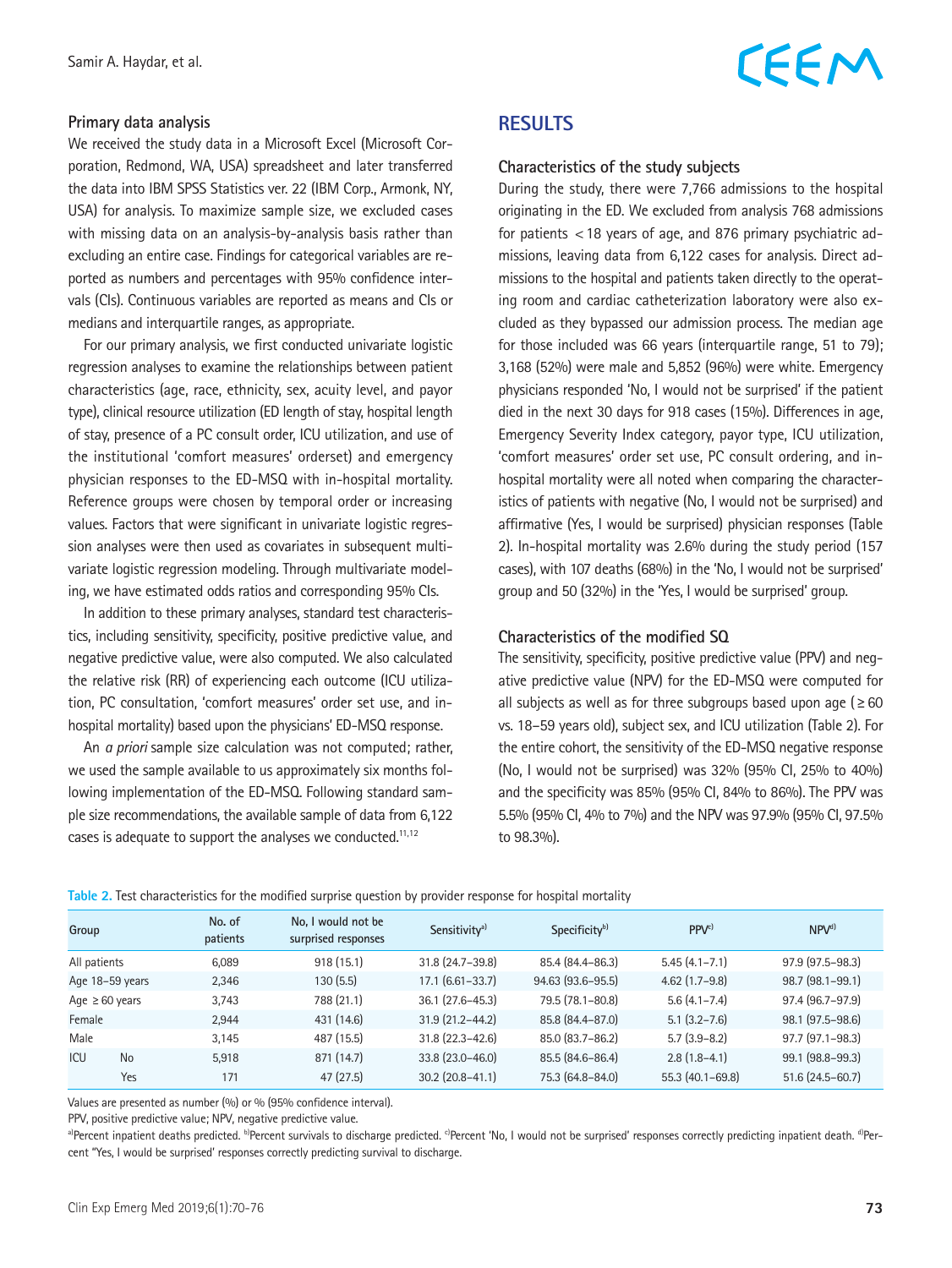# CEEM

#### **Primary data analysis**

We received the study data in a Microsoft Excel (Microsoft Corporation, Redmond, WA, USA) spreadsheet and later transferred the data into IBM SPSS Statistics ver. 22 (IBM Corp., Armonk, NY, USA) for analysis. To maximize sample size, we excluded cases with missing data on an analysis-by-analysis basis rather than excluding an entire case. Findings for categorical variables are reported as numbers and percentages with 95% confidence intervals (CIs). Continuous variables are reported as means and CIs or medians and interquartile ranges, as appropriate.

For our primary analysis, we first conducted univariate logistic regression analyses to examine the relationships between patient characteristics (age, race, ethnicity, sex, acuity level, and payor type), clinical resource utilization (ED length of stay, hospital length of stay, presence of a PC consult order, ICU utilization, and use of the institutional 'comfort measures' orderset) and emergency physician responses to the ED-MSQ with in-hospital mortality. Reference groups were chosen by temporal order or increasing values. Factors that were significant in univariate logistic regression analyses were then used as covariates in subsequent multivariate logistic regression modeling. Through multivariate modeling, we have estimated odds ratios and corresponding 95% CIs.

In addition to these primary analyses, standard test characteristics, including sensitivity, specificity, positive predictive value, and negative predictive value, were also computed. We also calculated the relative risk (RR) of experiencing each outcome (ICU utilization, PC consultation, 'comfort measures' order set use, and inhospital mortality) based upon the physicians' ED-MSQ response.

An *a priori* sample size calculation was not computed; rather, we used the sample available to us approximately six months following implementation of the ED-MSQ. Following standard sample size recommendations, the available sample of data from 6,122 cases is adequate to support the analyses we conducted.<sup>11,12</sup>

#### **RESULTS**

#### **Characteristics of the study subjects**

During the study, there were 7,766 admissions to the hospital originating in the ED. We excluded from analysis 768 admissions for patients <18 years of age, and 876 primary psychiatric admissions, leaving data from 6,122 cases for analysis. Direct admissions to the hospital and patients taken directly to the operating room and cardiac catheterization laboratory were also excluded as they bypassed our admission process. The median age for those included was 66 years (interquartile range, 51 to 79); 3,168 (52%) were male and 5,852 (96%) were white. Emergency physicians responded 'No, I would not be surprised' if the patient died in the next 30 days for 918 cases (15%). Differences in age, Emergency Severity Index category, payor type, ICU utilization, 'comfort measures' order set use, PC consult ordering, and inhospital mortality were all noted when comparing the characteristics of patients with negative (No, I would not be surprised) and affirmative (Yes, I would be surprised) physician responses (Table 2). In-hospital mortality was 2.6% during the study period (157 cases), with 107 deaths (68%) in the 'No, I would not be surprised' group and 50 (32%) in the 'Yes, I would be surprised' group.

#### **Characteristics of the modified SQ**

The sensitivity, specificity, positive predictive value (PPV) and negative predictive value (NPV) for the ED-MSQ were computed for all subjects as well as for three subgroups based upon age ( $\geq 60$ ) vs. 18–59 years old), subject sex, and ICU utilization (Table 2). For the entire cohort, the sensitivity of the ED-MSQ negative response (No, I would not be surprised) was 32% (95% CI, 25% to 40%) and the specificity was 85% (95% CI, 84% to 86%). The PPV was 5.5% (95% CI, 4% to 7%) and the NPV was 97.9% (95% CI, 97.5% to 98.3%).

| Table 2. Test characteristics for the modified surprise question by provider response for hospital mortality |  |  |  |  |
|--------------------------------------------------------------------------------------------------------------|--|--|--|--|
|                                                                                                              |  |  |  |  |

| Group               |           | No. of<br>patients | No. I would not be<br>surprised responses | Sensitivity <sup>a)</sup> | Specificity <sup>b)</sup> | PPV <sup>c)</sup>   | NPV <sup>d</sup>       |
|---------------------|-----------|--------------------|-------------------------------------------|---------------------------|---------------------------|---------------------|------------------------|
| All patients        |           | 6,089              | 918(15.1)                                 | $31.8(24.7 - 39.8)$       | 85.4 (84.4-86.3)          | $5.45(4.1 - 7.1)$   | $97.9$ $(97.5 - 98.3)$ |
| Age 18-59 years     |           | 2,346              | 130(5.5)                                  | $17.1 (6.61 - 33.7)$      | 94.63 (93.6-95.5)         | $4.62$ (1.7-9.8)    | 98.7 (98.1-99.1)       |
| Age $\geq 60$ years |           | 3,743              | 788 (21.1)                                | $36.1(27.6-45.3)$         | 79.5 (78.1-80.8)          | $5.6(4.1 - 7.4)$    | 97.4 (96.7-97.9)       |
| Female              |           | 2,944              | 431 (14.6)                                | $31.9(21.2 - 44.2)$       | 85.8 (84.4-87.0)          | $5.1(3.2 - 7.6)$    | 98.1 (97.5-98.6)       |
| Male                |           | 3.145              | 487 (15.5)                                | $31.8(22.3 - 42.6)$       | 85.0 (83.7-86.2)          | $5.7(3.9-8.2)$      | $97.7$ $(97.1 - 98.3)$ |
| <b>ICU</b>          | <b>No</b> | 5,918              | 871 (14.7)                                | 33.8 (23.0-46.0)          | 85.5 (84.6-86.4)          | $2.8(1.8-4.1)$      | 99.1 (98.8-99.3)       |
|                     | Yes       | 171                | 47(27.5)                                  | $30.2$ (20.8-41.1)        | 75.3 (64.8-84.0)          | $55.3(40.1 - 69.8)$ | $51.6(24.5-60.7)$      |

Values are presented as number (%) or % (95% confidence interval).

PPV, positive predictive value; NPV, negative predictive value.

a)Percent inpatient deaths predicted. b)Percent survivals to discharge predicted. c)Percent 'No, I would not be surprised' responses correctly predicting inpatient death. <sup>d</sup>)Percent "Yes, I would be surprised' responses correctly predicting survival to discharge.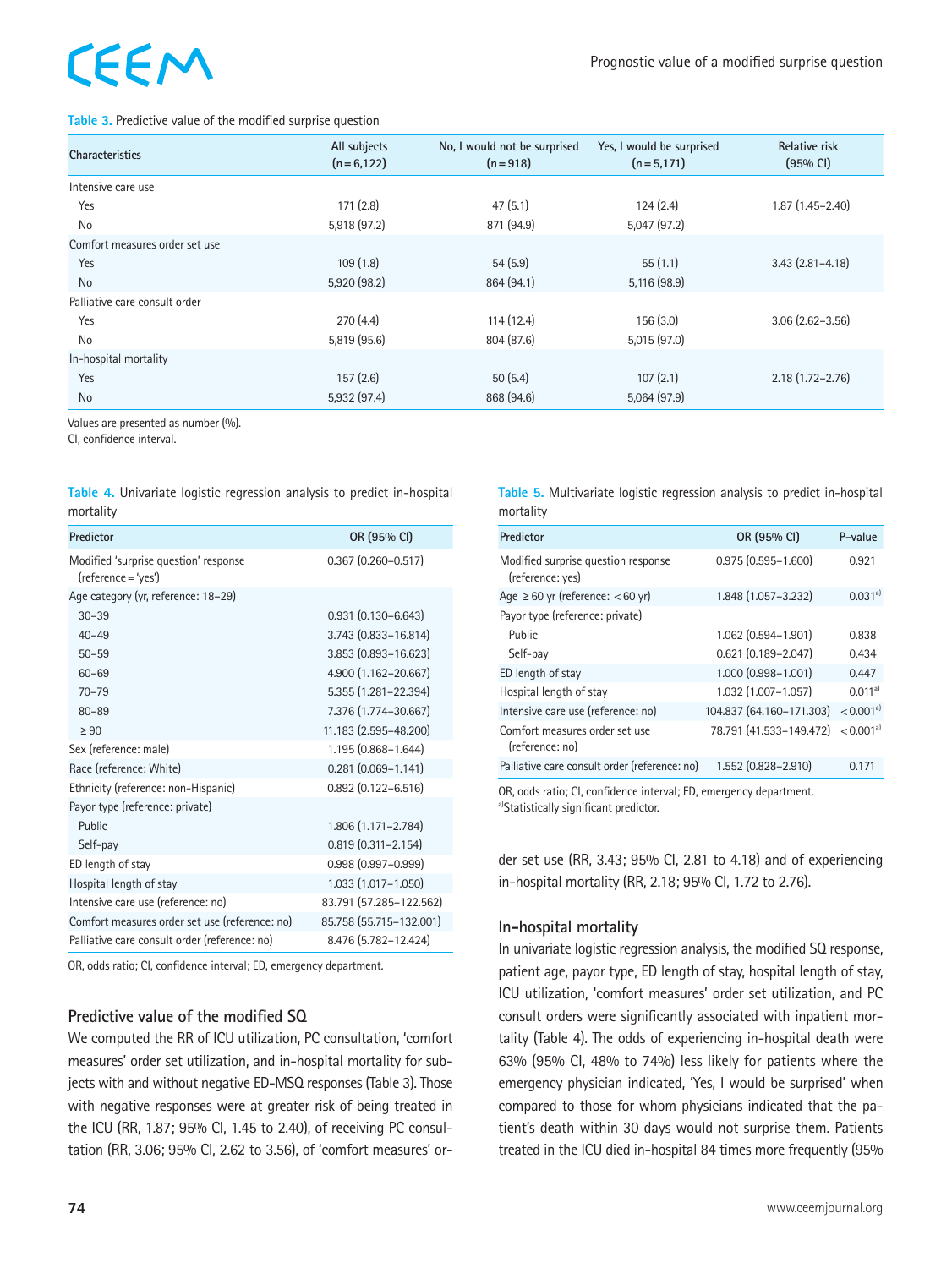# EEM

#### **Table 3.** Predictive value of the modified surprise question

| <b>Characteristics</b>         | All subjects<br>$(n=6,122)$ | No, I would not be surprised<br>$(n=918)$ | Yes, I would be surprised<br>$(n=5,171)$ | <b>Relative risk</b><br>$(95% \text{ Cl})$ |
|--------------------------------|-----------------------------|-------------------------------------------|------------------------------------------|--------------------------------------------|
| Intensive care use             |                             |                                           |                                          |                                            |
| Yes                            | 171(2.8)                    | 47(5.1)                                   | 124(2.4)                                 | $1.87(1.45 - 2.40)$                        |
| No                             | 5,918 (97.2)                | 871 (94.9)                                | 5,047(97.2)                              |                                            |
| Comfort measures order set use |                             |                                           |                                          |                                            |
| Yes                            | 109(1.8)                    | 54(5.9)                                   | 55(1.1)                                  | $3.43(2.81 - 4.18)$                        |
| <b>No</b>                      | 5,920 (98.2)                | 864 (94.1)                                | 5,116 (98.9)                             |                                            |
| Palliative care consult order  |                             |                                           |                                          |                                            |
| Yes                            | 270(4.4)                    | 114(12.4)                                 | 156(3.0)                                 | $3.06(2.62 - 3.56)$                        |
| <b>No</b>                      | 5,819 (95.6)                | 804 (87.6)                                | 5,015 (97.0)                             |                                            |
| In-hospital mortality          |                             |                                           |                                          |                                            |
| Yes                            | 157(2.6)                    | 50(5.4)                                   | 107(2.1)                                 | $2.18(1.72 - 2.76)$                        |
| <b>No</b>                      | 5,932 (97.4)                | 868 (94.6)                                | 5,064(97.9)                              |                                            |

Values are presented as number (%).

CI, confidence interval.

**Table 4.** Univariate logistic regression analysis to predict in-hospital mortality

| Predictor                                                    | OR (95% CI)               |
|--------------------------------------------------------------|---------------------------|
| Modified 'surprise question' response<br>(reference = 'yes') | $0.367$ $(0.260 - 0.517)$ |
| Age category (yr, reference: 18–29)                          |                           |
| $30 - 39$                                                    | $0.931(0.130 - 6.643)$    |
| $40 - 49$                                                    | 3.743 (0.833-16.814)      |
| $50 - 59$                                                    | 3.853 (0.893-16.623)      |
| $60 - 69$                                                    | 4.900 (1.162-20.667)      |
| $70 - 79$                                                    | 5.355 (1.281-22.394)      |
| $80 - 89$                                                    | 7.376 (1.774-30.667)      |
| > 90                                                         | 11.183 (2.595-48.200)     |
| Sex (reference: male)                                        | 1.195 (0.868-1.644)       |
| Race (reference: White)                                      | $0.281$ $(0.069 - 1.141)$ |
| Ethnicity (reference: non-Hispanic)                          | $0.892$ $(0.122 - 6.516)$ |
| Payor type (reference: private)                              |                           |
| Public                                                       | 1.806 (1.171-2.784)       |
| Self-pay                                                     | $0.819(0.311 - 2.154)$    |
| ED length of stay                                            | $0.998(0.997 - 0.999)$    |
| Hospital length of stay                                      | 1.033 (1.017-1.050)       |
| Intensive care use (reference: no)                           | 83.791 (57.285-122.562)   |
| Comfort measures order set use (reference: no)               | 85.758 (55.715-132.001)   |
| Palliative care consult order (reference: no)                | 8.476 (5.782-12.424)      |

OR, odds ratio; CI, confidence interval; ED, emergency department.

#### **Predictive value of the modified SQ**

We computed the RR of ICU utilization, PC consultation, 'comfort measures' order set utilization, and in-hospital mortality for subjects with and without negative ED-MSQ responses (Table 3). Those with negative responses were at greater risk of being treated in the ICU (RR, 1.87; 95% CI, 1.45 to 2.40), of receiving PC consultation (RR, 3.06; 95% CI, 2.62 to 3.56), of 'comfort measures' or**Table 5.** Multivariate logistic regression analysis to predict in-hospital mortality

| Predictor                                               | OR (95% CI)              | P-value                 |
|---------------------------------------------------------|--------------------------|-------------------------|
| Modified surprise question response<br>(reference: yes) | $0.975(0.595 - 1.600)$   | 0.921                   |
| Age $\geq 60$ yr (reference: $< 60$ yr)                 | 1.848 (1.057-3.232)      | $0.031a^{3}$            |
| Payor type (reference: private)                         |                          |                         |
| Public                                                  | 1.062 (0.594-1.901)      | 0.838                   |
| Self-pay                                                | $0.621$ (0.189-2.047)    | 0.434                   |
| ED length of stay                                       | 1.000 (0.998-1.001)      | 0.447                   |
| Hospital length of stay                                 | 1.032 (1.007-1.057)      | $0.011a^{3}$            |
| Intensive care use (reference: no)                      | 104.837 (64.160-171.303) | $< 0.001$ <sup>a)</sup> |
| Comfort measures order set use<br>(reference: no)       | 78.791 (41.533-149.472)  | $< 0.001$ <sup>a)</sup> |
| Palliative care consult order (reference: no)           | 1.552 (0.828-2.910)      | 0.171                   |

OR, odds ratio; CI, confidence interval; ED, emergency department. a)Statistically significant predictor.

der set use (RR, 3.43; 95% CI, 2.81 to 4.18) and of experiencing in-hospital mortality (RR, 2.18; 95% CI, 1.72 to 2.76).

#### **In-hospital mortality**

In univariate logistic regression analysis, the modified SQ response, patient age, payor type, ED length of stay, hospital length of stay, ICU utilization, 'comfort measures' order set utilization, and PC consult orders were significantly associated with inpatient mortality (Table 4). The odds of experiencing in-hospital death were 63% (95% CI, 48% to 74%) less likely for patients where the emergency physician indicated, 'Yes, I would be surprised' when compared to those for whom physicians indicated that the patient's death within 30 days would not surprise them. Patients treated in the ICU died in-hospital 84 times more frequently (95%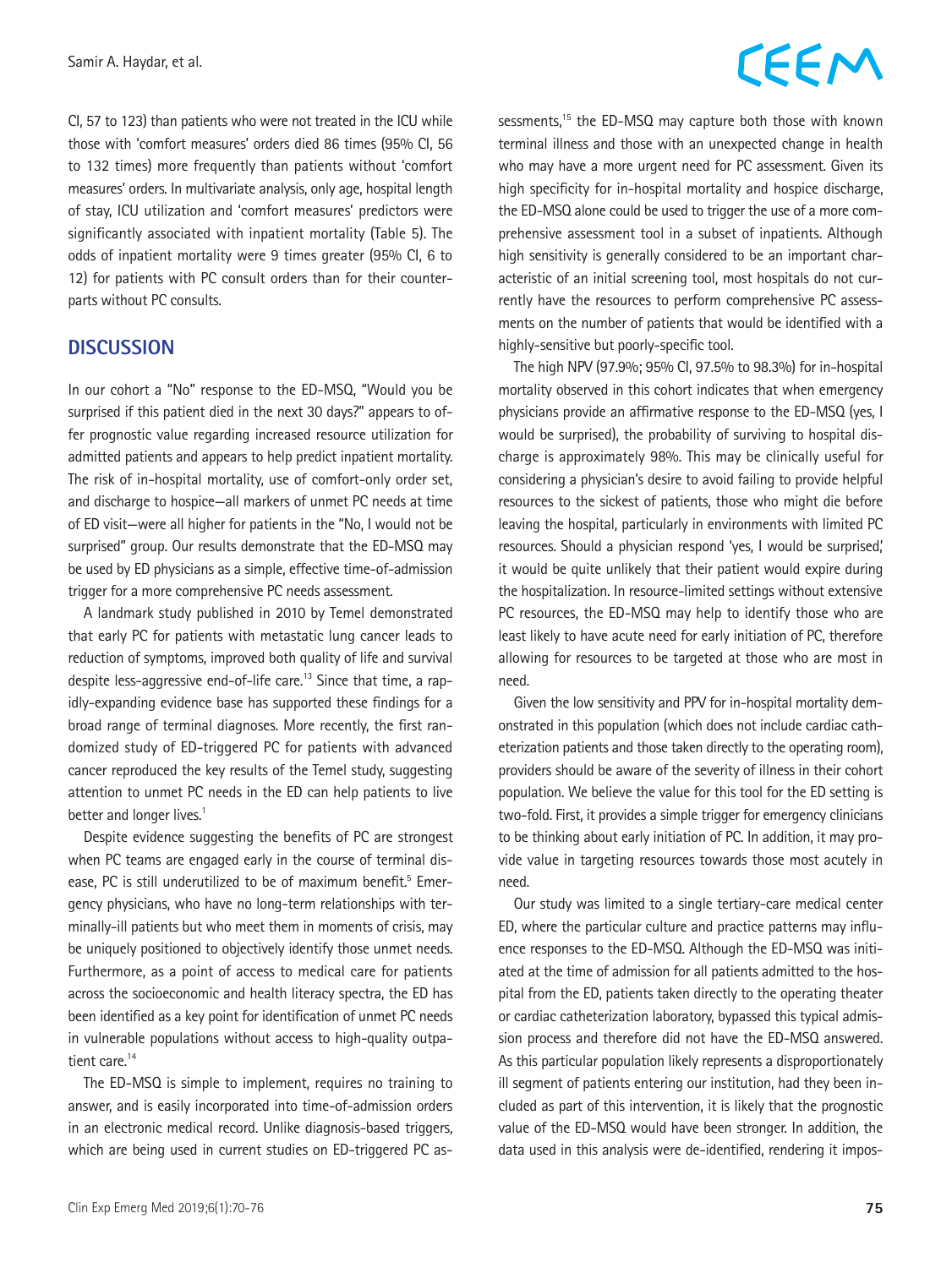CI, 57 to 123) than patients who were not treated in the ICU while those with 'comfort measures' orders died 86 times (95% CI, 56 to 132 times) more frequently than patients without 'comfort measures' orders. In multivariate analysis, only age, hospital length of stay, ICU utilization and 'comfort measures' predictors were significantly associated with inpatient mortality (Table 5). The odds of inpatient mortality were 9 times greater (95% CI, 6 to 12) for patients with PC consult orders than for their counterparts without PC consults.

#### **DISCUSSION**

In our cohort a "No" response to the ED-MSQ, "Would you be surprised if this patient died in the next 30 days?" appears to offer prognostic value regarding increased resource utilization for admitted patients and appears to help predict inpatient mortality. The risk of in-hospital mortality, use of comfort-only order set, and discharge to hospice—all markers of unmet PC needs at time of ED visit—were all higher for patients in the "No, I would not be surprised" group. Our results demonstrate that the ED-MSQ may be used by ED physicians as a simple, effective time-of-admission trigger for a more comprehensive PC needs assessment.

A landmark study published in 2010 by Temel demonstrated that early PC for patients with metastatic lung cancer leads to reduction of symptoms, improved both quality of life and survival despite less-aggressive end-of-life care.<sup>13</sup> Since that time, a rapidly-expanding evidence base has supported these findings for a broad range of terminal diagnoses. More recently, the first randomized study of ED-triggered PC for patients with advanced cancer reproduced the key results of the Temel study, suggesting attention to unmet PC needs in the ED can help patients to live better and longer lives.<sup>1</sup>

Despite evidence suggesting the benefits of PC are strongest when PC teams are engaged early in the course of terminal disease, PC is still underutilized to be of maximum benefit.<sup>5</sup> Emergency physicians, who have no long-term relationships with terminally-ill patients but who meet them in moments of crisis, may be uniquely positioned to objectively identify those unmet needs. Furthermore, as a point of access to medical care for patients across the socioeconomic and health literacy spectra, the ED has been identified as a key point for identification of unmet PC needs in vulnerable populations without access to high-quality outpatient care.<sup>14</sup>

The ED-MSQ is simple to implement, requires no training to answer, and is easily incorporated into time-of-admission orders in an electronic medical record. Unlike diagnosis-based triggers, which are being used in current studies on ED-triggered PC as-

### CEEM

sessments,<sup>15</sup> the ED-MSQ may capture both those with known terminal illness and those with an unexpected change in health who may have a more urgent need for PC assessment. Given its high specificity for in-hospital mortality and hospice discharge, the ED-MSQ alone could be used to trigger the use of a more comprehensive assessment tool in a subset of inpatients. Although high sensitivity is generally considered to be an important characteristic of an initial screening tool, most hospitals do not currently have the resources to perform comprehensive PC assessments on the number of patients that would be identified with a highly-sensitive but poorly-specific tool.

The high NPV (97.9%; 95% CI, 97.5% to 98.3%) for in-hospital mortality observed in this cohort indicates that when emergency physicians provide an affirmative response to the ED-MSQ (yes, I would be surprised), the probability of surviving to hospital discharge is approximately 98%. This may be clinically useful for considering a physician's desire to avoid failing to provide helpful resources to the sickest of patients, those who might die before leaving the hospital, particularly in environments with limited PC resources. Should a physician respond 'yes, I would be surprised,' it would be quite unlikely that their patient would expire during the hospitalization. In resource-limited settings without extensive PC resources, the ED-MSQ may help to identify those who are least likely to have acute need for early initiation of PC, therefore allowing for resources to be targeted at those who are most in need.

Given the low sensitivity and PPV for in-hospital mortality demonstrated in this population (which does not include cardiac catheterization patients and those taken directly to the operating room), providers should be aware of the severity of illness in their cohort population. We believe the value for this tool for the ED setting is two-fold. First, it provides a simple trigger for emergency clinicians to be thinking about early initiation of PC. In addition, it may provide value in targeting resources towards those most acutely in need.

Our study was limited to a single tertiary-care medical center ED, where the particular culture and practice patterns may influence responses to the ED-MSQ. Although the ED-MSQ was initiated at the time of admission for all patients admitted to the hospital from the ED, patients taken directly to the operating theater or cardiac catheterization laboratory, bypassed this typical admission process and therefore did not have the ED-MSQ answered. As this particular population likely represents a disproportionately ill segment of patients entering our institution, had they been included as part of this intervention, it is likely that the prognostic value of the ED-MSQ would have been stronger. In addition, the data used in this analysis were de-identified, rendering it impos-